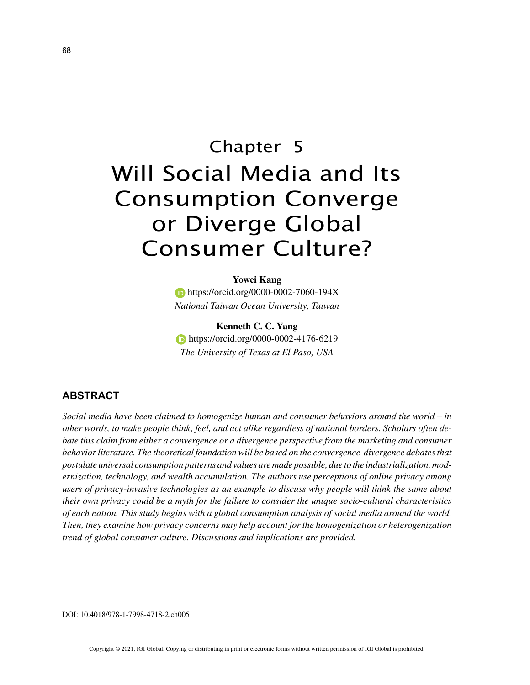# Chapter 5 Will Social Media and Its Consumption Converge or Diverge Global Consumer Culture?

## **Yowei Kang**

**https://orcid.org/0000-0002-7060-194X** *National Taiwan Ocean University, Taiwan*

**Kenneth C. C. Yang https://orcid.org/0000-0002-4176-6219** *The University of Texas at El Paso, USA*

# **ABSTRACT**

*Social media have been claimed to homogenize human and consumer behaviors around the world – in other words, to make people think, feel, and act alike regardless of national borders. Scholars often debate this claim from either a convergence or a divergence perspective from the marketing and consumer behavior literature. The theoretical foundation will be based on the convergence-divergence debates that postulate universal consumption patterns and values are made possible, due to the industrialization, modernization, technology, and wealth accumulation. The authors use perceptions of online privacy among users of privacy-invasive technologies as an example to discuss why people will think the same about their own privacy could be a myth for the failure to consider the unique socio-cultural characteristics of each nation. This study begins with a global consumption analysis of social media around the world. Then, they examine how privacy concerns may help account for the homogenization or heterogenization trend of global consumer culture. Discussions and implications are provided.*

DOI: 10.4018/978-1-7998-4718-2.ch005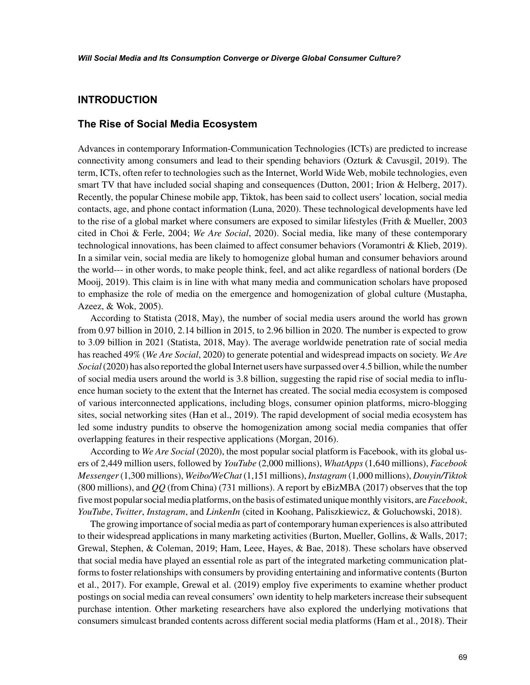## **INTRODUCTION**

## **The Rise of Social Media Ecosystem**

Advances in contemporary Information-Communication Technologies (ICTs) are predicted to increase connectivity among consumers and lead to their spending behaviors (Ozturk & Cavusgil, 2019). The term, ICTs, often refer to technologies such as the Internet, World Wide Web, mobile technologies, even smart TV that have included social shaping and consequences (Dutton, 2001; Irion & Helberg, 2017). Recently, the popular Chinese mobile app, Tiktok, has been said to collect users' location, social media contacts, age, and phone contact information (Luna, 2020). These technological developments have led to the rise of a global market where consumers are exposed to similar lifestyles (Frith & Mueller, 2003 cited in Choi & Ferle, 2004; *We Are Social*, 2020). Social media, like many of these contemporary technological innovations, has been claimed to affect consumer behaviors (Voramontri & Klieb, 2019). In a similar vein, social media are likely to homogenize global human and consumer behaviors around the world--- in other words, to make people think, feel, and act alike regardless of national borders (De Mooij, 2019). This claim is in line with what many media and communication scholars have proposed to emphasize the role of media on the emergence and homogenization of global culture (Mustapha, Azeez, & Wok, 2005).

According to Statista (2018, May), the number of social media users around the world has grown from 0.97 billion in 2010, 2.14 billion in 2015, to 2.96 billion in 2020. The number is expected to grow to 3.09 billion in 2021 (Statista, 2018, May). The average worldwide penetration rate of social media has reached 49% (*We Are Social*, 2020) to generate potential and widespread impacts on society. *We Are Social* (2020) has also reported the global Internet users have surpassed over 4.5 billion, while the number of social media users around the world is 3.8 billion, suggesting the rapid rise of social media to influence human society to the extent that the Internet has created. The social media ecosystem is composed of various interconnected applications, including blogs, consumer opinion platforms, micro-blogging sites, social networking sites (Han et al., 2019). The rapid development of social media ecosystem has led some industry pundits to observe the homogenization among social media companies that offer overlapping features in their respective applications (Morgan, 2016).

According to *We Are Social* (2020), the most popular social platform is Facebook, with its global users of 2,449 million users, followed by *YouTube* (2,000 millions), *WhatApps* (1,640 millions), *Facebook Messenger* (1,300 millions), *Weibo/WeChat* (1,151 millions), *Instagram* (1,000 millions), *Douyin/Tiktok* (800 millions), and *QQ* (from China) (731 millions). A report by eBizMBA (2017) observes that the top five most popular social media platforms, on the basis of estimated unique monthly visitors, are *Facebook*, *YouTube*, *Twitter*, *Instagram*, and *LinkenIn* (cited in Koohang, Paliszkiewicz, & Goluchowski, 2018).

The growing importance of social media as part of contemporary human experiences is also attributed to their widespread applications in many marketing activities (Burton, Mueller, Gollins, & Walls, 2017; Grewal, Stephen, & Coleman, 2019; Ham, Leee, Hayes, & Bae, 2018). These scholars have observed that social media have played an essential role as part of the integrated marketing communication platforms to foster relationships with consumers by providing entertaining and informative contents (Burton et al., 2017). For example, Grewal et al. (2019) employ five experiments to examine whether product postings on social media can reveal consumers' own identity to help marketers increase their subsequent purchase intention. Other marketing researchers have also explored the underlying motivations that consumers simulcast branded contents across different social media platforms (Ham et al., 2018). Their